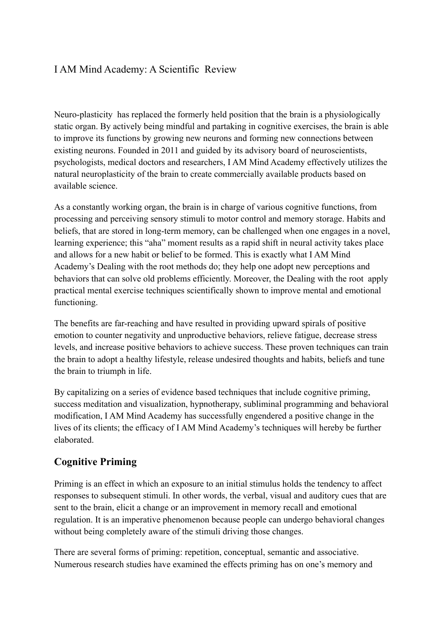# I AM Mind Academy: A Scientific Review

Neuro-plasticity has replaced the formerly held position that the brain is a physiologically static organ. By actively being mindful and partaking in cognitive exercises, the brain is able to improve its functions by growing new neurons and forming new connections between existing neurons. Founded in 2011 and guided by its advisory board of neuroscientists, psychologists, medical doctors and researchers, I AM Mind Academy effectively utilizes the natural neuroplasticity of the brain to create commercially available products based on available science.

As a constantly working organ, the brain is in charge of various cognitive functions, from processing and perceiving sensory stimuli to motor control and memory storage. Habits and beliefs, that are stored in long-term memory, can be challenged when one engages in a novel, learning experience; this "aha" moment results as a rapid shift in neural activity takes place and allows for a new habit or belief to be formed. This is exactly what I AM Mind Academy's Dealing with the root methods do; they help one adopt new perceptions and behaviors that can solve old problems efficiently. Moreover, the Dealing with the root apply practical mental exercise techniques scientifically shown to improve mental and emotional functioning.

The benefits are far-reaching and have resulted in providing upward spirals of positive emotion to counter negativity and unproductive behaviors, relieve fatigue, decrease stress levels, and increase positive behaviors to achieve success. These proven techniques can train the brain to adopt a healthy lifestyle, release undesired thoughts and habits, beliefs and tune the brain to triumph in life.

By capitalizing on a series of evidence based techniques that include cognitive priming, success meditation and visualization, hypnotherapy, subliminal programming and behavioral modification, I AM Mind Academy has successfully engendered a positive change in the lives of its clients; the efficacy of I AM Mind Academy's techniques will hereby be further elaborated.

#### **Cognitive Priming**

Priming is an effect in which an exposure to an initial stimulus holds the tendency to affect responses to subsequent stimuli. In other words, the verbal, visual and auditory cues that are sent to the brain, elicit a change or an improvement in memory recall and emotional regulation. It is an imperative phenomenon because people can undergo behavioral changes without being completely aware of the stimuli driving those changes.

There are several forms of priming: repetition, conceptual, semantic and associative. Numerous research studies have examined the effects priming has on one's memory and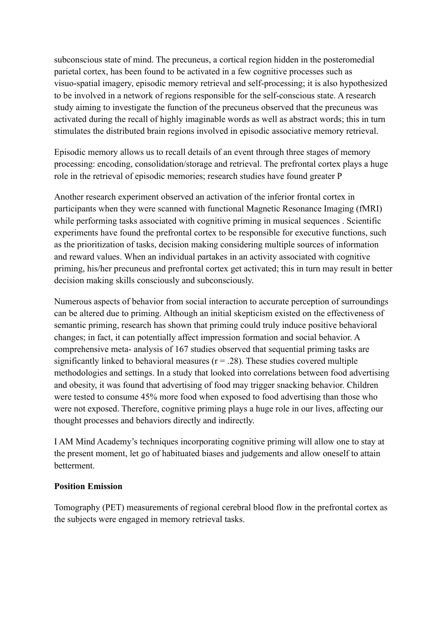subconscious state of mind. The precuneus, a cortical region hidden in the posteromedial parietal cortex, has been found to be activated in a few cognitive processes such as visuo-spatial imagery, episodic memory retrieval and self-processing; it is also hypothesized to be involved in a network of regions responsible for the self-conscious state. A research study aiming to investigate the function of the precuneus observed that the precuneus was activated during the recall of highly imaginable words as well as abstract words; this in turn stimulates the distributed brain regions involved in episodic associative memory retrieval.

Episodic memory allows us to recall details of an event through three stages of memory processing: encoding, consolidation/storage and retrieval. The prefrontal cortex plays a huge role in the retrieval of episodic memories; research studies have found greater P

Another research experiment observed an activation of the inferior frontal cortex in participants when they were scanned with functional Magnetic Resonance Imaging (fMRI) while performing tasks associated with cognitive priming in musical sequences . Scientific experiments have found the prefrontal cortex to be responsible for executive functions, such as the prioritization of tasks, decision making considering multiple sources of information and reward values. When an individual partakes in an activity associated with cognitive priming, his/her precuneus and prefrontal cortex get activated; this in turn may result in better decision making skills consciously and subconsciously.

Numerous aspects of behavior from social interaction to accurate perception of surroundings can be altered due to priming. Although an initial skepticism existed on the effectiveness of semantic priming, research has shown that priming could truly induce positive behavioral changes; in fact, it can potentially affect impression formation and social behavior. A comprehensive meta- analysis of 167 studies observed that sequential priming tasks are significantly linked to behavioral measures  $(r = .28)$ . These studies covered multiple methodologies and settings. In a study that looked into correlations between food advertising and obesity, it was found that advertising of food may trigger snacking behavior. Children were tested to consume 45% more food when exposed to food advertising than those who were not exposed. Therefore, cognitive priming plays a huge role in our lives, affecting our thought processes and behaviors directly and indirectly.

I AM Mind Academy's techniques incorporating cognitive priming will allow one to stay at the present moment, let go of habituated biases and judgements and allow oneself to attain betterment.

#### **Position Emission**

Tomography (PET) measurements of regional cerebral blood flow in the prefrontal cortex as the subjects were engaged in memory retrieval tasks.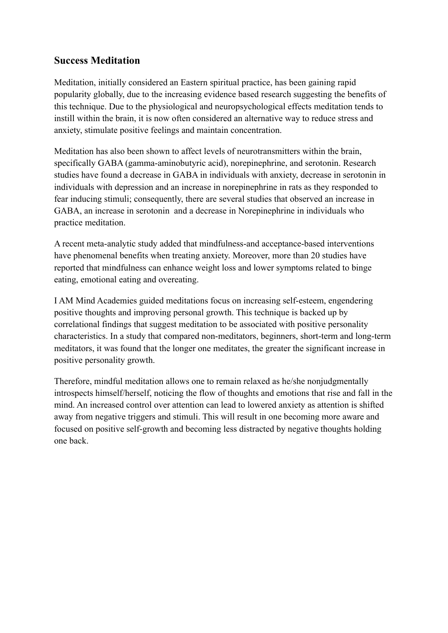#### **Success Meditation**

Meditation, initially considered an Eastern spiritual practice, has been gaining rapid popularity globally, due to the increasing evidence based research suggesting the benefits of this technique. Due to the physiological and neuropsychological effects meditation tends to instill within the brain, it is now often considered an alternative way to reduce stress and anxiety, stimulate positive feelings and maintain concentration.

Meditation has also been shown to affect levels of neurotransmitters within the brain, specifically GABA (gamma-aminobutyric acid), norepinephrine, and serotonin. Research studies have found a decrease in GABA in individuals with anxiety, decrease in serotonin in individuals with depression and an increase in norepinephrine in rats as they responded to fear inducing stimuli; consequently, there are several studies that observed an increase in GABA, an increase in serotonin and a decrease in Norepinephrine in individuals who practice meditation.

A recent meta-analytic study added that mindfulness-and acceptance-based interventions have phenomenal benefits when treating anxiety. Moreover, more than 20 studies have reported that mindfulness can enhance weight loss and lower symptoms related to binge eating, emotional eating and overeating.

I AM Mind Academies guided meditations focus on increasing self-esteem, engendering positive thoughts and improving personal growth. This technique is backed up by correlational findings that suggest meditation to be associated with positive personality characteristics. In a study that compared non-meditators, beginners, short-term and long-term meditators, it was found that the longer one meditates, the greater the significant increase in positive personality growth.

Therefore, mindful meditation allows one to remain relaxed as he/she nonjudgmentally introspects himself/herself, noticing the flow of thoughts and emotions that rise and fall in the mind. An increased control over attention can lead to lowered anxiety as attention is shifted away from negative triggers and stimuli. This will result in one becoming more aware and focused on positive self-growth and becoming less distracted by negative thoughts holding one back.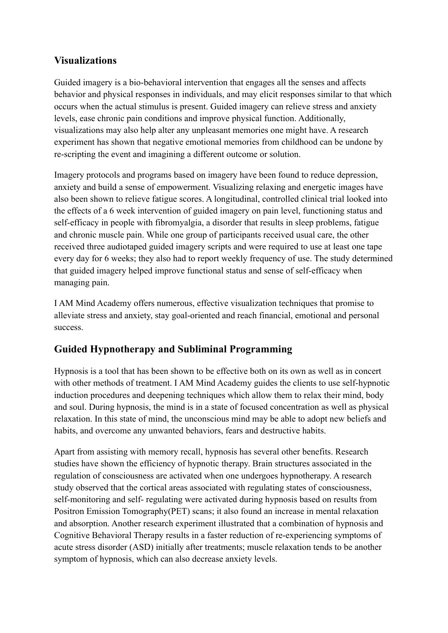## **Visualizations**

Guided imagery is a bio-behavioral intervention that engages all the senses and affects behavior and physical responses in individuals, and may elicit responses similar to that which occurs when the actual stimulus is present. Guided imagery can relieve stress and anxiety levels, ease chronic pain conditions and improve physical function. Additionally, visualizations may also help alter any unpleasant memories one might have. A research experiment has shown that negative emotional memories from childhood can be undone by re-scripting the event and imagining a different outcome or solution.

Imagery protocols and programs based on imagery have been found to reduce depression, anxiety and build a sense of empowerment. Visualizing relaxing and energetic images have also been shown to relieve fatigue scores. A longitudinal, controlled clinical trial looked into the effects of a 6 week intervention of guided imagery on pain level, functioning status and self-efficacy in people with fibromyalgia, a disorder that results in sleep problems, fatigue and chronic muscle pain. While one group of participants received usual care, the other received three audiotaped guided imagery scripts and were required to use at least one tape every day for 6 weeks; they also had to report weekly frequency of use. The study determined that guided imagery helped improve functional status and sense of self-efficacy when managing pain.

I AM Mind Academy offers numerous, effective visualization techniques that promise to alleviate stress and anxiety, stay goal-oriented and reach financial, emotional and personal success.

# **Guided Hypnotherapy and Subliminal Programming**

Hypnosis is a tool that has been shown to be effective both on its own as well as in concert with other methods of treatment. I AM Mind Academy guides the clients to use self-hypnotic induction procedures and deepening techniques which allow them to relax their mind, body and soul. During hypnosis, the mind is in a state of focused concentration as well as physical relaxation. In this state of mind, the unconscious mind may be able to adopt new beliefs and habits, and overcome any unwanted behaviors, fears and destructive habits.

Apart from assisting with memory recall, hypnosis has several other benefits. Research studies have shown the efficiency of hypnotic therapy. Brain structures associated in the regulation of consciousness are activated when one undergoes hypnotherapy. A research study observed that the cortical areas associated with regulating states of consciousness, self-monitoring and self- regulating were activated during hypnosis based on results from Positron Emission Tomography(PET) scans; it also found an increase in mental relaxation and absorption. Another research experiment illustrated that a combination of hypnosis and Cognitive Behavioral Therapy results in a faster reduction of re-experiencing symptoms of acute stress disorder (ASD) initially after treatments; muscle relaxation tends to be another symptom of hypnosis, which can also decrease anxiety levels.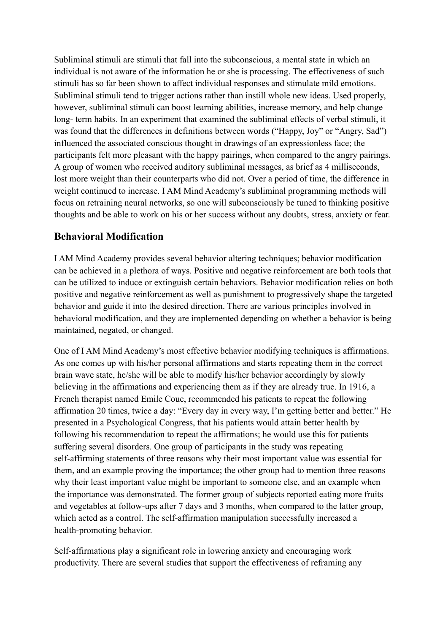Subliminal stimuli are stimuli that fall into the subconscious, a mental state in which an individual is not aware of the information he or she is processing. The effectiveness of such stimuli has so far been shown to affect individual responses and stimulate mild emotions. Subliminal stimuli tend to trigger actions rather than instill whole new ideas. Used properly, however, subliminal stimuli can boost learning abilities, increase memory, and help change long- term habits. In an experiment that examined the subliminal effects of verbal stimuli, it was found that the differences in definitions between words ("Happy, Joy" or "Angry, Sad") influenced the associated conscious thought in drawings of an expressionless face; the participants felt more pleasant with the happy pairings, when compared to the angry pairings. A group of women who received auditory subliminal messages, as brief as 4 milliseconds, lost more weight than their counterparts who did not. Over a period of time, the difference in weight continued to increase. I AM Mind Academy's subliminal programming methods will focus on retraining neural networks, so one will subconsciously be tuned to thinking positive thoughts and be able to work on his or her success without any doubts, stress, anxiety or fear.

## **Behavioral Modification**

I AM Mind Academy provides several behavior altering techniques; behavior modification can be achieved in a plethora of ways. Positive and negative reinforcement are both tools that can be utilized to induce or extinguish certain behaviors. Behavior modification relies on both positive and negative reinforcement as well as punishment to progressively shape the targeted behavior and guide it into the desired direction. There are various principles involved in behavioral modification, and they are implemented depending on whether a behavior is being maintained, negated, or changed.

One of I AM Mind Academy's most effective behavior modifying techniques is affirmations. As one comes up with his/her personal affirmations and starts repeating them in the correct brain wave state, he/she will be able to modify his/her behavior accordingly by slowly believing in the affirmations and experiencing them as if they are already true. In 1916, a French therapist named Emile Coue, recommended his patients to repeat the following affirmation 20 times, twice a day: "Every day in every way, I'm getting better and better." He presented in a Psychological Congress, that his patients would attain better health by following his recommendation to repeat the affirmations; he would use this for patients suffering several disorders. One group of participants in the study was repeating self-affirming statements of three reasons why their most important value was essential for them, and an example proving the importance; the other group had to mention three reasons why their least important value might be important to someone else, and an example when the importance was demonstrated. The former group of subjects reported eating more fruits and vegetables at follow-ups after 7 days and 3 months, when compared to the latter group, which acted as a control. The self-affirmation manipulation successfully increased a health-promoting behavior.

Self-affirmations play a significant role in lowering anxiety and encouraging work productivity. There are several studies that support the effectiveness of reframing any